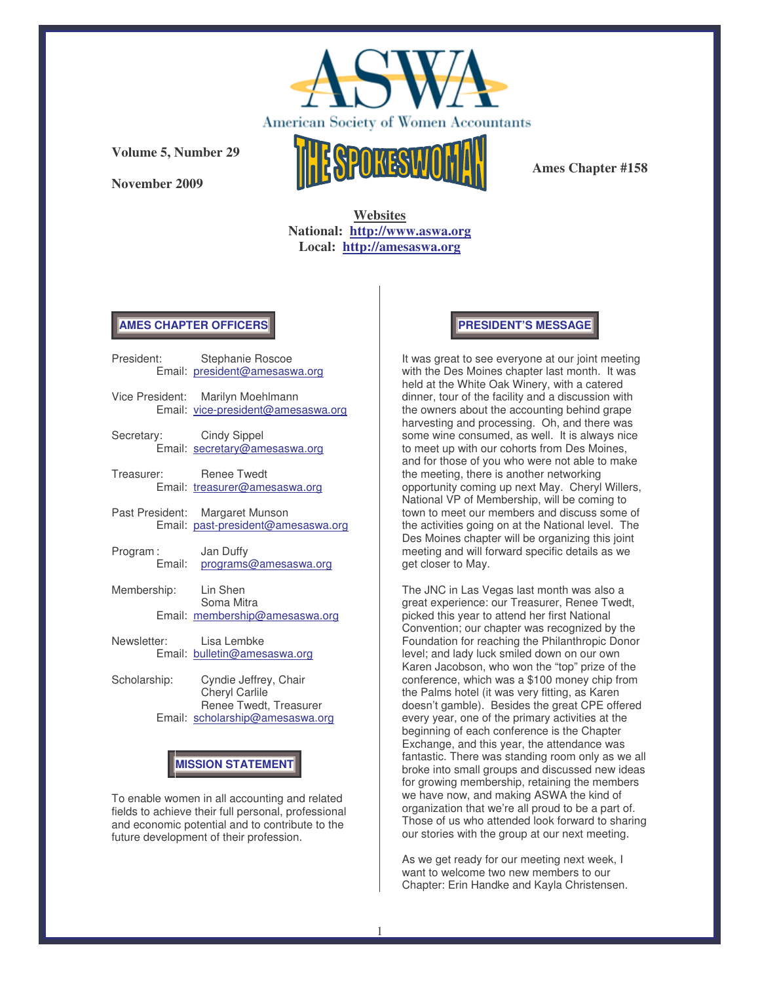

**November 2009**



**Ames Chapter #158**

**Websites National: http://www.aswa.org Local: http://amesaswa.org**

## **AMES CHAPTER OFFICERS**

| President:              | Stephanie Roscoe<br>Email: president@amesaswa.org                       |
|-------------------------|-------------------------------------------------------------------------|
|                         | Vice President: Marilyn Moehlmann<br>Email: vice-president@amesaswa.org |
| Secretary: Cindy Sippel | Email: secretary@amesaswa.org                                           |
| Treasurer: Renee Twedt  | Email: treasurer@amesaswa.org                                           |
|                         | Past President: Margaret Munson<br>Email: past-president@amesaswa.org   |
| Program:                | Jan Duffy<br>Email: programs@amesaswa.org                               |
| Membership: Lin Shen    | Soma Mitra                                                              |
|                         | Email: membership@amesaswa.org                                          |
| Newsletter: Lisa Lembke | Email: bulletin@amesaswa.org                                            |

Scholarship: Cyndie Jeffrey, Chair Cheryl Carlile Renee Twedt, Treasurer Email: scholarship@amesaswa.org

# **MISSION STATEMENT**

To enable women in all accounting and related fields to achieve their full personal, professional and economic potential and to contribute to the future development of their profession.

## **PRESIDENT'S MESSAGE**

It was great to see everyone at our joint meeting with the Des Moines chapter last month. It was held at the White Oak Winery, with a catered dinner, tour of the facility and a discussion with the owners about the accounting behind grape harvesting and processing. Oh, and there was some wine consumed, as well. It is always nice to meet up with our cohorts from Des Moines, and for those of you who were not able to make the meeting, there is another networking opportunity coming up next May. Cheryl Willers, National VP of Membership, will be coming to town to meet our members and discuss some of the activities going on at the National level. The Des Moines chapter will be organizing this joint meeting and will forward specific details as we get closer to May.

The JNC in Las Vegas last month was also a great experience: our Treasurer, Renee Twedt, picked this year to attend her first National Convention; our chapter was recognized by the Foundation for reaching the Philanthropic Donor level; and lady luck smiled down on our own Karen Jacobson, who won the "top" prize of the conference, which was a \$100 money chip from the Palms hotel (it was very fitting, as Karen doesn't gamble). Besides the great CPE offered every year, one of the primary activities at the beginning of each conference is the Chapter Exchange, and this year, the attendance was fantastic. There was standing room only as we all broke into small groups and discussed new ideas for growing membership, retaining the members we have now, and making ASWA the kind of organization that we're all proud to be a part of. Those of us who attended look forward to sharing our stories with the group at our next meeting.

As we get ready for our meeting next week, I want to welcome two new members to our Chapter: Erin Handke and Kayla Christensen.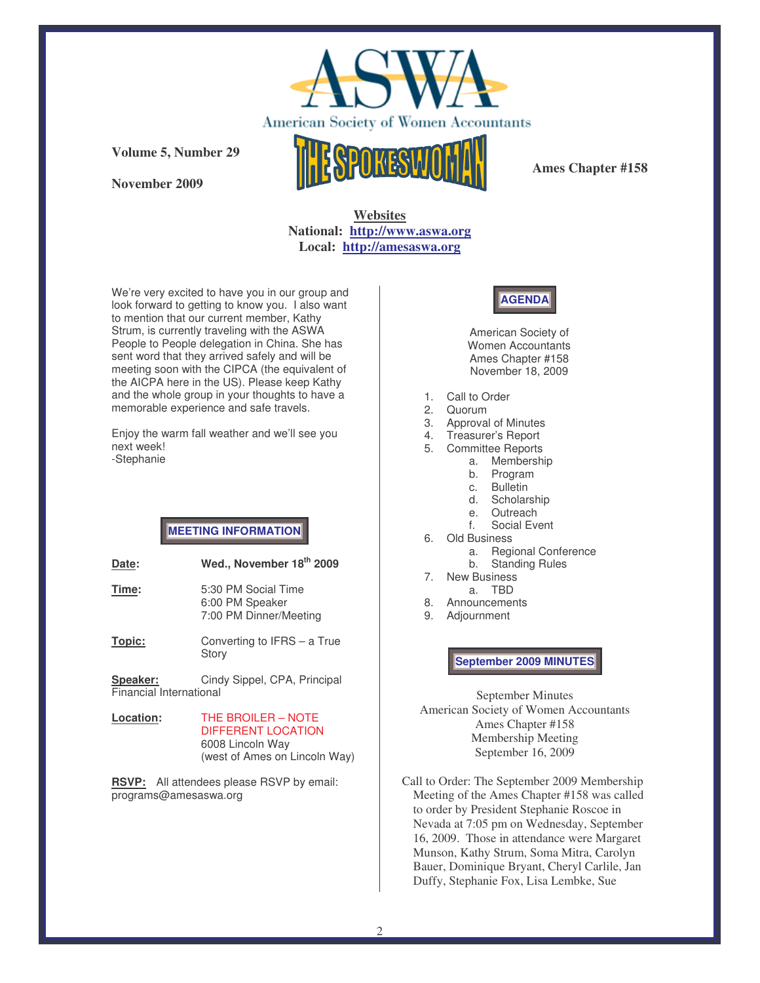

**November 2009**



**Ames Chapter #158**

## **Websites National: http://www.aswa.org Local: http://amesaswa.org**

We're very excited to have you in our group and look forward to getting to know you. I also want to mention that our current member, Kathy Strum, is currently traveling with the ASWA People to People delegation in China. She has sent word that they arrived safely and will be meeting soon with the CIPCA (the equivalent of the AICPA here in the US). Please keep Kathy and the whole group in your thoughts to have a memorable experience and safe travels.

Enjoy the warm fall weather and we'll see you next week! -Stephanie

# **MEETING INFORMATION**

| Date: | Wed., November 18 <sup>th</sup> 2009   |
|-------|----------------------------------------|
| Time: | 5:30 PM Social Time<br>6:00 PM Speaker |
|       | 7:00 PM Dinner/Meeting                 |

**Topic:** Converting to IFRS – a True Story

**Speaker:** Cindy Sippel, CPA, Principal Financial International

**Location:** THE BROILER – NOTE DIFFERENT LOCATION 6008 Lincoln Way (west of Ames on Lincoln Way)

**RSVP:** All attendees please RSVP by email: programs@amesaswa.org



American Society of Women Accountants Ames Chapter #158 November 18, 2009

- 1. Call to Order
- 2. Quorum<br>3. Approva
- Approval of Minutes
- 4. Treasurer's Report
- 5. Committee Reports
	- a. Membership
		- b. Program
		- c. Bulletin
		- d. Scholarship e. Outreach
		- f. Social Event
- 6. Old Business
	- a. Regional Conference
	- b. Standing Rules
- 7. New Business a. TBD
- 8. Announcements
- 9. Adjournment

**September 2009 MINUTES**

September Minutes American Society of Women Accountants Ames Chapter #158 Membership Meeting September 16, 2009

Call to Order: The September 2009 Membership Meeting of the Ames Chapter #158 was called to order by President Stephanie Roscoe in Nevada at 7:05 pm on Wednesday, September 16, 2009. Those in attendance were Margaret Munson, Kathy Strum, Soma Mitra, Carolyn Bauer, Dominique Bryant, Cheryl Carlile, Jan Duffy, Stephanie Fox, Lisa Lembke, Sue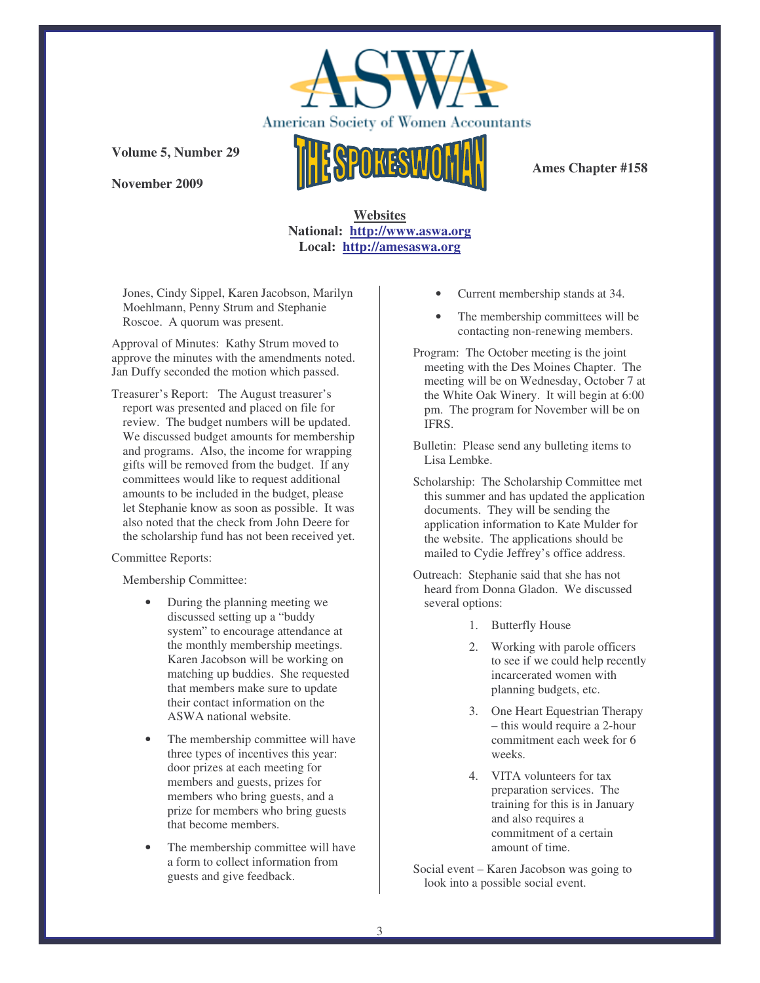

**November 2009**

**Ames Chapter #158**

**Websites National: http://www.aswa.org Local: http://amesaswa.org**

Jones, Cindy Sippel, Karen Jacobson, Marilyn Moehlmann, Penny Strum and Stephanie Roscoe. A quorum was present.

Approval of Minutes: Kathy Strum moved to approve the minutes with the amendments noted. Jan Duffy seconded the motion which passed.

Treasurer's Report: The August treasurer's report was presented and placed on file for review. The budget numbers will be updated. We discussed budget amounts for membership and programs. Also, the income for wrapping gifts will be removed from the budget. If any committees would like to request additional amounts to be included in the budget, please let Stephanie know as soon as possible. It was also noted that the check from John Deere for the scholarship fund has not been received yet.

#### Committee Reports:

Membership Committee:

- During the planning meeting we discussed setting up a "buddy system" to encourage attendance at the monthly membership meetings. Karen Jacobson will be working on matching up buddies. She requested that members make sure to update their contact information on the ASWA national website.
- The membership committee will have three types of incentives this year: door prizes at each meeting for members and guests, prizes for members who bring guests, and a prize for members who bring guests that become members.
- The membership committee will have a form to collect information from guests and give feedback.
- Current membership stands at 34.
- The membership committees will be contacting non-renewing members.

Program: The October meeting is the joint meeting with the Des Moines Chapter. The meeting will be on Wednesday, October 7 at the White Oak Winery. It will begin at 6:00 pm. The program for November will be on IFRS.

Bulletin: Please send any bulleting items to Lisa Lembke.

- Scholarship: The Scholarship Committee met this summer and has updated the application documents. They will be sending the application information to Kate Mulder for the website. The applications should be mailed to Cydie Jeffrey's office address.
- Outreach: Stephanie said that she has not heard from Donna Gladon. We discussed several options:
	- 1. Butterfly House
	- 2. Working with parole officers to see if we could help recently incarcerated women with planning budgets, etc.
	- 3. One Heart Equestrian Therapy – this would require a 2-hour commitment each week for 6 weeks.
	- 4. VITA volunteers for tax preparation services. The training for this is in January and also requires a commitment of a certain amount of time.
- Social event Karen Jacobson was going to look into a possible social event.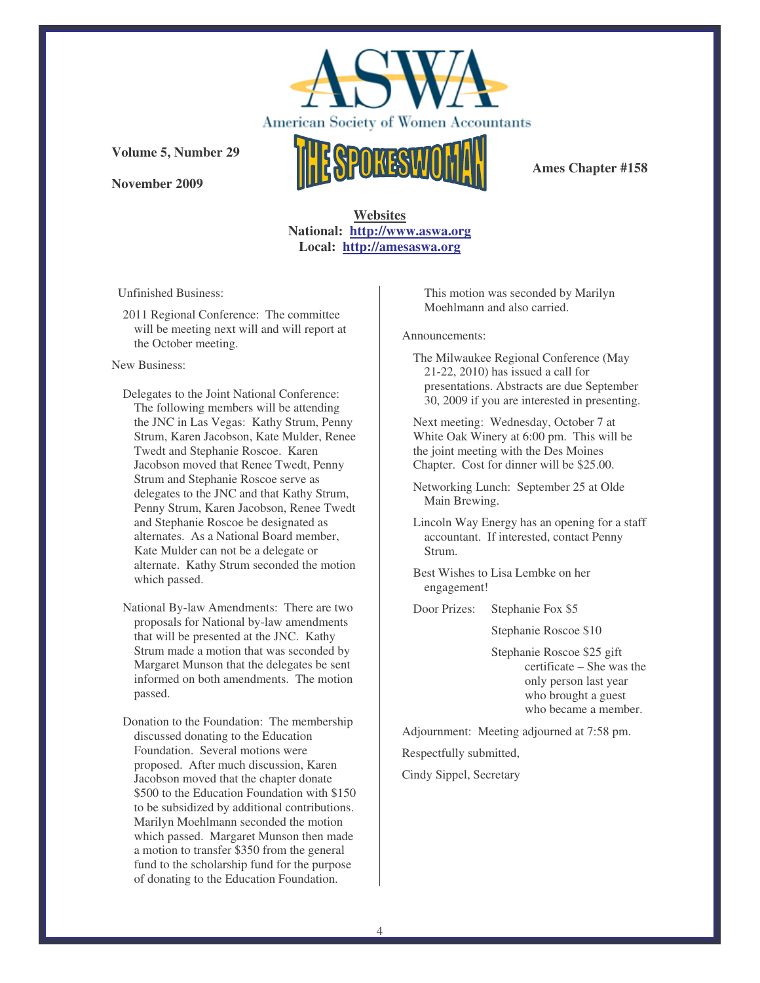

**November 2009**

**Ames Chapter #158**

**Websites National: http://www.aswa.org Local: http://amesaswa.org**

Unfinished Business:

2011 Regional Conference: The committee will be meeting next will and will report at the October meeting.

#### New Business:

- Delegates to the Joint National Conference: The following members will be attending the JNC in Las Vegas: Kathy Strum, Penny Strum, Karen Jacobson, Kate Mulder, Renee Twedt and Stephanie Roscoe. Karen Jacobson moved that Renee Twedt, Penny Strum and Stephanie Roscoe serve as delegates to the JNC and that Kathy Strum, Penny Strum, Karen Jacobson, Renee Twedt and Stephanie Roscoe be designated as alternates. As a National Board member, Kate Mulder can not be a delegate or alternate. Kathy Strum seconded the motion which passed.
- National By-law Amendments: There are two proposals for National by-law amendments that will be presented at the JNC. Kathy Strum made a motion that was seconded by Margaret Munson that the delegates be sent informed on both amendments. The motion passed.

Donation to the Foundation: The membership discussed donating to the Education Foundation. Several motions were proposed. After much discussion, Karen Jacobson moved that the chapter donate \$500 to the Education Foundation with \$150 to be subsidized by additional contributions. Marilyn Moehlmann seconded the motion which passed. Margaret Munson then made a motion to transfer \$350 from the general fund to the scholarship fund for the purpose of donating to the Education Foundation.

This motion was seconded by Marilyn Moehlmann and also carried.

Announcements:

The Milwaukee Regional Conference (May 21-22, 2010) has issued a call for presentations. Abstracts are due September 30, 2009 if you are interested in presenting.

Next meeting: Wednesday, October 7 at White Oak Winery at 6:00 pm. This will be the joint meeting with the Des Moines Chapter. Cost for dinner will be \$25.00.

Networking Lunch: September 25 at Olde Main Brewing.

Lincoln Way Energy has an opening for a staff accountant. If interested, contact Penny Strum.

Best Wishes to Lisa Lembke on her engagement!

Door Prizes: Stephanie Fox \$5

Stephanie Roscoe \$10

Stephanie Roscoe \$25 gift certificate – She was the only person last year who brought a guest who became a member.

Adjournment: Meeting adjourned at 7:58 pm.

Respectfully submitted,

Cindy Sippel, Secretary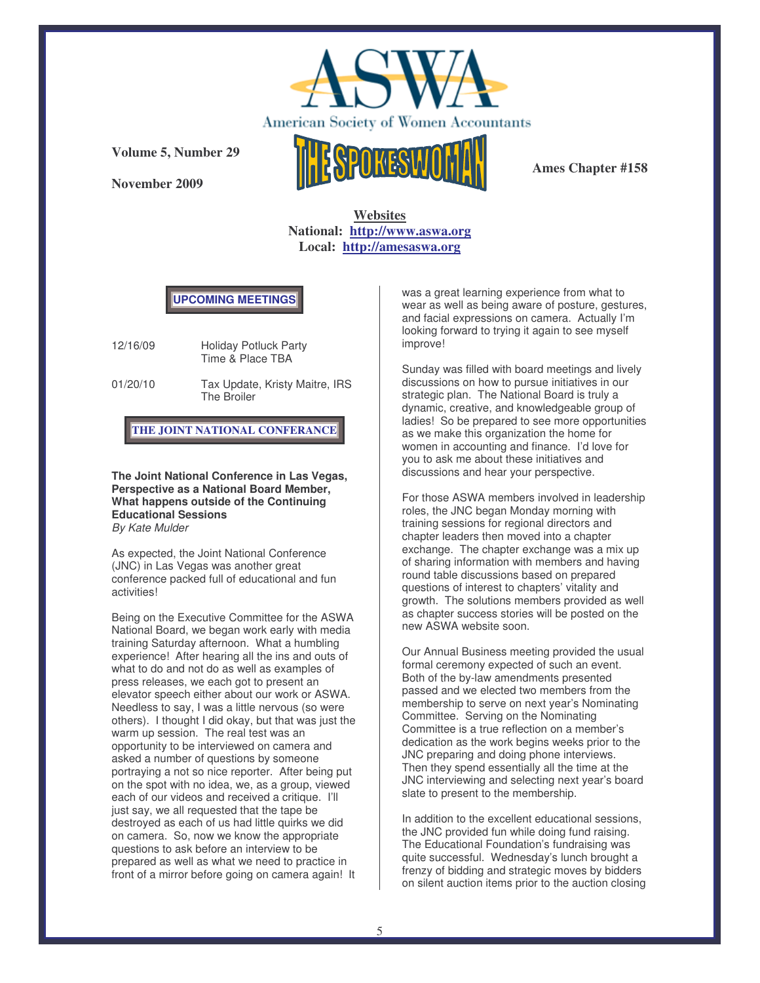

**November 2009**



**Ames Chapter #158**

**Websites National: http://www.aswa.org Local: http://amesaswa.org**

### **UPCOMING MEETINGS**

12/16/09 Holiday Potluck Party Time & Place TBA

01/20/10 Tax Update, Kristy Maitre, IRS The Broiler

**THE JOINT NATIONAL CONFERANCE**

**The Joint National Conference in Las Vegas, Perspective as a National Board Member, What happens outside of the Continuing Educational Sessions** *By Kate Mulder*

As expected, the Joint National Conference (JNC) in Las Vegas was another great conference packed full of educational and fun activities!

Being on the Executive Committee for the ASWA National Board, we began work early with media training Saturday afternoon. What a humbling experience! After hearing all the ins and outs of what to do and not do as well as examples of press releases, we each got to present an elevator speech either about our work or ASWA. Needless to say, I was a little nervous (so were others). I thought I did okay, but that was just the warm up session. The real test was an opportunity to be interviewed on camera and asked a number of questions by someone portraying a not so nice reporter. After being put on the spot with no idea, we, as a group, viewed each of our videos and received a critique. I'll just say, we all requested that the tape be destroyed as each of us had little quirks we did on camera. So, now we know the appropriate questions to ask before an interview to be prepared as well as what we need to practice in front of a mirror before going on camera again! It was a great learning experience from what to wear as well as being aware of posture, gestures, and facial expressions on camera. Actually I'm looking forward to trying it again to see myself improve!

Sunday was filled with board meetings and lively discussions on how to pursue initiatives in our strategic plan. The National Board is truly a dynamic, creative, and knowledgeable group of ladies! So be prepared to see more opportunities as we make this organization the home for women in accounting and finance. I'd love for you to ask me about these initiatives and discussions and hear your perspective.

For those ASWA members involved in leadership roles, the JNC began Monday morning with training sessions for regional directors and chapter leaders then moved into a chapter exchange. The chapter exchange was a mix up of sharing information with members and having round table discussions based on prepared questions of interest to chapters' vitality and growth. The solutions members provided as well as chapter success stories will be posted on the new ASWA website soon.

Our Annual Business meeting provided the usual formal ceremony expected of such an event. Both of the by-law amendments presented passed and we elected two members from the membership to serve on next year's Nominating Committee. Serving on the Nominating Committee is a true reflection on a member's dedication as the work begins weeks prior to the JNC preparing and doing phone interviews. Then they spend essentially all the time at the JNC interviewing and selecting next year's board slate to present to the membership.

In addition to the excellent educational sessions, the JNC provided fun while doing fund raising. The Educational Foundation's fundraising was quite successful. Wednesday's lunch brought a frenzy of bidding and strategic moves by bidders on silent auction items prior to the auction closing